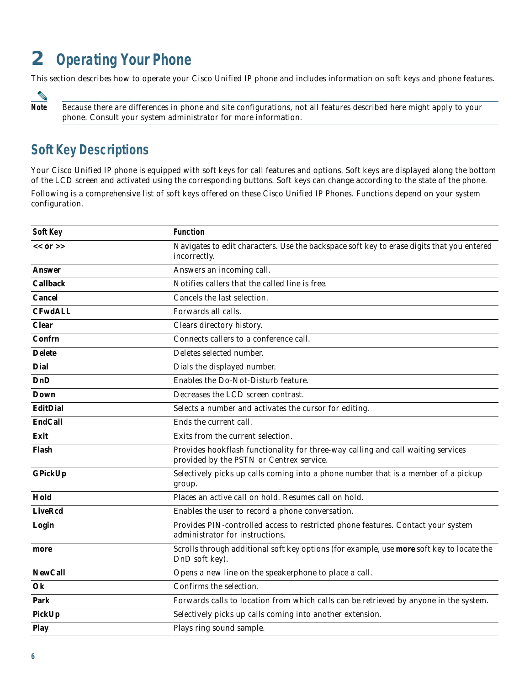# **2 Operating Your Phone**

This section describes how to operate your Cisco Unified IP phone and includes information on soft keys and phone features.

**Note** Because there are differences in phone and site configurations, not all features described here might apply to your phone. Consult your system administrator for more information.

### **Soft Key Descriptions**

Your Cisco Unified IP phone is equipped with soft keys for call features and options. Soft keys are displayed along the bottom of the LCD screen and activated using the corresponding buttons. Soft keys can change according to the state of the phone. Following is a comprehensive list of soft keys offered on these Cisco Unified IP Phones. Functions depend on your system configuration.

| Soft Key        | <b>Function</b>                                                                                                              |
|-----------------|------------------------------------------------------------------------------------------------------------------------------|
| $<< 0r$ >>      | Navigates to edit characters. Use the backspace soft key to erase digits that you entered<br>incorrectly.                    |
| Answer          | Answers an incoming call.                                                                                                    |
| <b>Callback</b> | Notifies callers that the called line is free.                                                                               |
| Cancel          | Cancels the last selection.                                                                                                  |
| <b>CFwdALL</b>  | Forwards all calls.                                                                                                          |
| <b>Clear</b>    | Clears directory history.                                                                                                    |
| Confrn          | Connects callers to a conference call.                                                                                       |
| <b>Delete</b>   | Deletes selected number.                                                                                                     |
| Dial            | Dials the displayed number.                                                                                                  |
| <b>DnD</b>      | Enables the Do-Not-Disturb feature.                                                                                          |
| Down            | Decreases the LCD screen contrast.                                                                                           |
| EditDial        | Selects a number and activates the cursor for editing.                                                                       |
| <b>EndCall</b>  | Ends the current call.                                                                                                       |
| Exit            | Exits from the current selection.                                                                                            |
| Flash           | Provides hookflash functionality for three-way calling and call waiting services<br>provided by the PSTN or Centrex service. |
| GPickUp         | Selectively picks up calls coming into a phone number that is a member of a pickup<br>group.                                 |
| Hold            | Places an active call on hold. Resumes call on hold.                                                                         |
| <b>LiveRcd</b>  | Enables the user to record a phone conversation.                                                                             |
| Login           | Provides PIN-controlled access to restricted phone features. Contact your system<br>administrator for instructions.          |
| more            | Scrolls through additional soft key options (for example, use more soft key to locate the<br>DnD soft key).                  |
| <b>NewCall</b>  | Opens a new line on the speakerphone to place a call.                                                                        |
| Ok              | Confirms the selection.                                                                                                      |
| Park            | Forwards calls to location from which calls can be retrieved by anyone in the system.                                        |
| PickUp          | Selectively picks up calls coming into another extension.                                                                    |
| Play            | Plays ring sound sample.                                                                                                     |